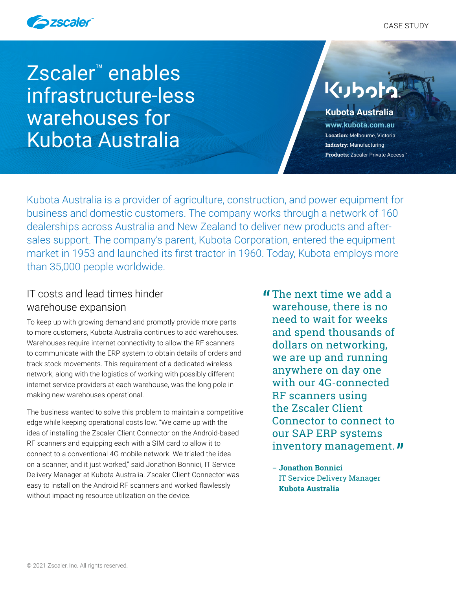



Zscaler™ enables infrastructure-less warehouses for Kubota Australia

# **Kubo**

## **Kubota Australia**

**[www.kubota.com.au](https://kubota.com.au/) Location:** Melbourne, Victoria **Industry:** Manufacturing **Products:** Zscaler Private Access™

Kubota Australia is a provider of agriculture, construction, and power equipment for business and domestic customers. The company works through a network of 160 dealerships across Australia and New Zealand to deliver new products and aftersales support. The company's parent, Kubota Corporation, entered the equipment market in 1953 and launched its first tractor in 1960. Today, Kubota employs more than 35,000 people worldwide.

## IT costs and lead times hinder warehouse expansion

To keep up with growing demand and promptly provide more parts to more customers, Kubota Australia continues to add warehouses. Warehouses require internet connectivity to allow the RF scanners to communicate with the ERP system to obtain details of orders and track stock movements. This requirement of a dedicated wireless network, along with the logistics of working with possibly different internet service providers at each warehouse, was the long pole in making new warehouses operational.

The business wanted to solve this problem to maintain a competitive edge while keeping operational costs low. "We came up with the idea of installing the Zscaler Client Connector on the Android-based RF scanners and equipping each with a SIM card to allow it to connect to a conventional 4G mobile network. We trialed the idea on a scanner, and it just worked," said Jonathon Bonnici, IT Service Delivery Manager at Kubota Australia. Zscaler Client Connector was easy to install on the Android RF scanners and worked flawlessly without impacting resource utilization on the device.

- **If** The next time we add a<br>warehouse, there is no warehouse, there is no need to wait for weeks and spend thousands of dollars on networking, we are up and running anywhere on day one with our 4G-connected RF scanners using the Zscaler Client Connector to connect to our SAP ERP systems inventory management. **"** 
	- **– Jonathon Bonnici**  IT Service Delivery Manager **Kubota Australia**